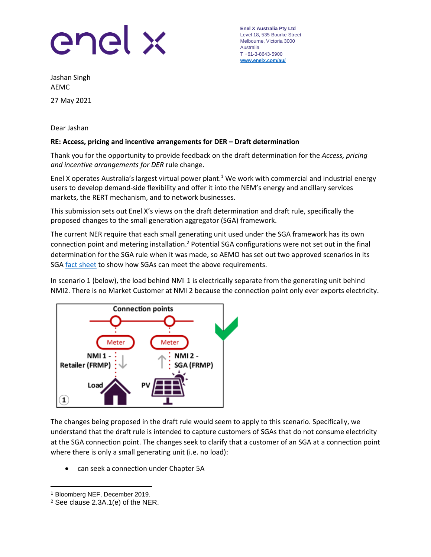

**Enel X Australia Pty Ltd** Level 18, 535 Bourke Street Melbourne, Victoria 3000 Australia T +61-3-8643-5900 **[www.enelx.com/a](http://www.enelx.com/)u/**

Jashan Singh AEMC 27 May 2021

Dear Jashan

## **RE: Access, pricing and incentive arrangements for DER – Draft determination**

Thank you for the opportunity to provide feedback on the draft determination for the *Access, pricing and incentive arrangements for DER* rule change.

Enel X operates Australia's largest virtual power plant.<sup>1</sup> We work with commercial and industrial energy users to develop demand-side flexibility and offer it into the NEM's energy and ancillary services markets, the RERT mechanism, and to network businesses.

This submission sets out Enel X's views on the draft determination and draft rule, specifically the proposed changes to the small generation aggregator (SGA) framework.

The current NER require that each small generating unit used under the SGA framework has its own connection point and metering installation.<sup>2</sup> Potential SGA configurations were not set out in the final determination for the SGA rule when it was made, so AEMO has set out two approved scenarios in its SGA [fact sheet](https://urldefense.com/v3/__https:/aemo.com.au/-/media/files/electricity/nem/participant_information/registration/small-generation-aggregator/small-generator-aggregator-fact-sheet.pdf?la=en__;!!OjemSMKBgg!0Xq5NPb9ct_VXvvpAfDnCjxPVGYa1dL1GNN9xH83wFeQmJjX5bZCv7ZzJwPZ5wcdCQ$) to show how SGAs can meet the above requirements.

In scenario 1 (below), the load behind NMI 1 is electrically separate from the generating unit behind NMI2. There is no Market Customer at NMI 2 because the connection point only ever exports electricity.



The changes being proposed in the draft rule would seem to apply to this scenario. Specifically, we understand that the draft rule is intended to capture customers of SGAs that do not consume electricity at the SGA connection point. The changes seek to clarify that a customer of an SGA at a connection point where there is only a small generating unit (i.e. no load):

• can seek a connection under Chapter 5A

<sup>1</sup> Bloomberg NEF, December 2019.

<sup>2</sup> See clause 2.3A.1(e) of the NER.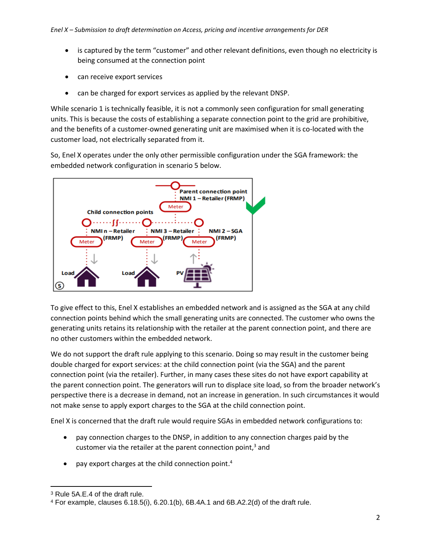- is captured by the term "customer" and other relevant definitions, even though no electricity is being consumed at the connection point
- can receive export services
- can be charged for export services as applied by the relevant DNSP.

While scenario 1 is technically feasible, it is not a commonly seen configuration for small generating units. This is because the costs of establishing a separate connection point to the grid are prohibitive, and the benefits of a customer-owned generating unit are maximised when it is co-located with the customer load, not electrically separated from it.

So, Enel X operates under the only other permissible configuration under the SGA framework: the embedded network configuration in scenario 5 below.



To give effect to this, Enel X establishes an embedded network and is assigned as the SGA at any child connection points behind which the small generating units are connected. The customer who owns the generating units retains its relationship with the retailer at the parent connection point, and there are no other customers within the embedded network.

We do not support the draft rule applying to this scenario. Doing so may result in the customer being double charged for export services: at the child connection point (via the SGA) and the parent connection point (via the retailer). Further, in many cases these sites do not have export capability at the parent connection point. The generators will run to displace site load, so from the broader network's perspective there is a decrease in demand, not an increase in generation. In such circumstances it would not make sense to apply export charges to the SGA at the child connection point.

Enel X is concerned that the draft rule would require SGAs in embedded network configurations to:

- pay connection charges to the DNSP, in addition to any connection charges paid by the customer via the retailer at the parent connection point,<sup>3</sup> and
- pay export charges at the child connection point.<sup>4</sup>

<sup>3</sup> Rule 5A.E.4 of the draft rule.

<sup>4</sup> For example, clauses 6.18.5(i), 6.20.1(b), 6B.4A.1 and 6B.A2.2(d) of the draft rule.